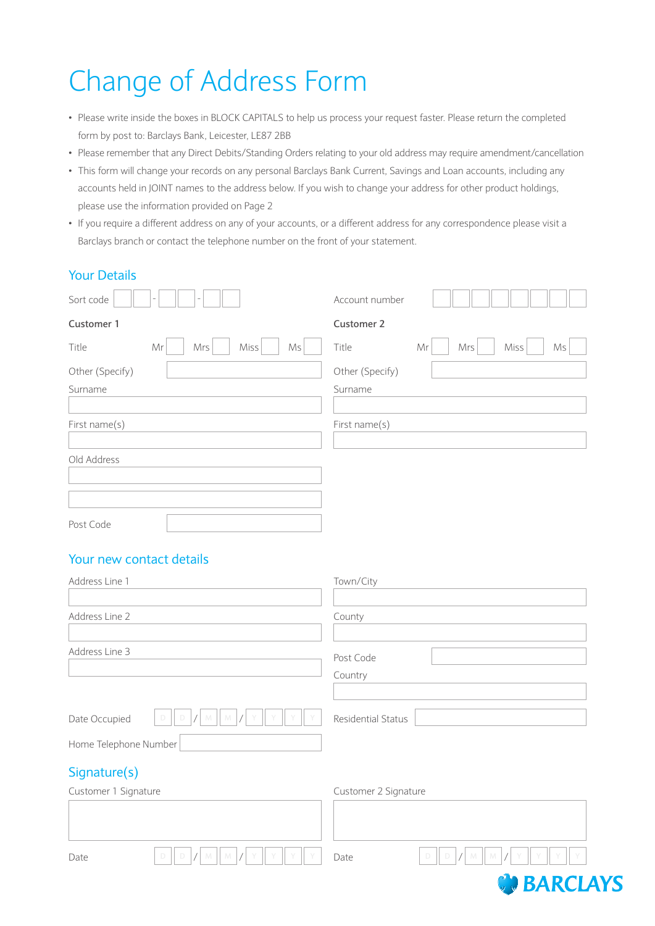## Change of Address Form

- Please write inside the boxes in BLOCK CAPITALS to help us process your request faster. Please return the completed form by post to: Barclays Bank, Leicester, LE87 2BB
- Please remember that any Direct Debits/Standing Orders relating to your old address may require amendment/cancellation
- This form will change your records on any personal Barclays Bank Current, Savings and Loan accounts, including any accounts held in JOINT names to the address below. If you wish to change your address for other product holdings, please use the information provided on Page 2
- If you require a different address on any of your accounts, or a different address for any correspondence please visit a Barclays branch or contact the telephone number on the front of your statement.

## Your Details

| Sort code       |           |      |    | Account number    |                         |
|-----------------|-----------|------|----|-------------------|-------------------------|
| Customer 1      |           |      |    | <b>Customer 2</b> |                         |
| Title           | Mr<br>Mrs | Miss | Ms | Title             | Mrs<br>Miss<br>Ms<br>Mr |
| Other (Specify) |           |      |    | Other (Specify)   |                         |
| Surname         |           |      |    | Surname           |                         |
|                 |           |      |    |                   |                         |
| First name(s)   |           |      |    | First name(s)     |                         |
|                 |           |      |    |                   |                         |
| Old Address     |           |      |    |                   |                         |
|                 |           |      |    |                   |                         |
|                 |           |      |    |                   |                         |
|                 |           |      |    |                   |                         |

Post Code

## Your new contact details

| Address Line 1           | Town/City                |  |
|--------------------------|--------------------------|--|
| Address Line 2           | County                   |  |
| Address Line 3           | Post Code                |  |
|                          | Country                  |  |
| Date Occupied            | Residential Status       |  |
| Home Telephone Number    |                          |  |
| Signature(s)             |                          |  |
| Customer 1 Signature     | Customer 2 Signature     |  |
|                          |                          |  |
| D<br>D<br>M<br>M<br>Date | D<br>D<br>M<br>M<br>Date |  |